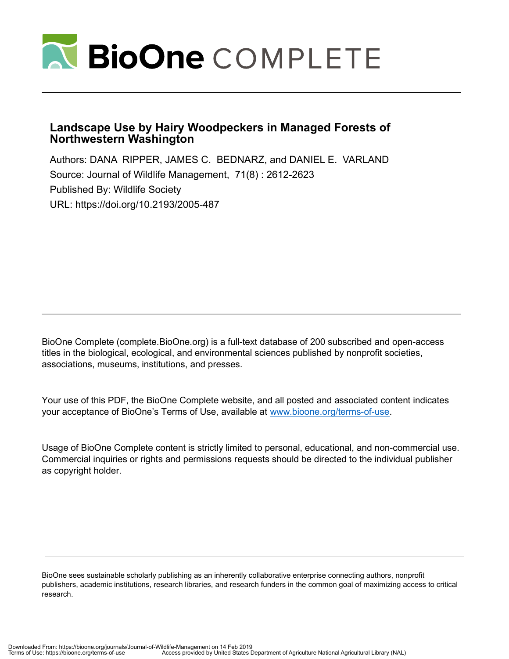

# **Landscape Use by Hairy Woodpeckers in Managed Forests of Northwestern Washington**

Authors: DANA RIPPER, JAMES C. BEDNARZ, and DANIEL E. VARLAND Source: Journal of Wildlife Management, 71(8) : 2612-2623 Published By: Wildlife Society URL: https://doi.org/10.2193/2005-487

BioOne Complete (complete.BioOne.org) is a full-text database of 200 subscribed and open-access titles in the biological, ecological, and environmental sciences published by nonprofit societies, associations, museums, institutions, and presses.

Your use of this PDF, the BioOne Complete website, and all posted and associated content indicates your acceptance of BioOne's Terms of Use, available at www.bioone.org/terms-of-use.

Usage of BioOne Complete content is strictly limited to personal, educational, and non-commercial use. Commercial inquiries or rights and permissions requests should be directed to the individual publisher as copyright holder.

BioOne sees sustainable scholarly publishing as an inherently collaborative enterprise connecting authors, nonprofit publishers, academic institutions, research libraries, and research funders in the common goal of maximizing access to critical research.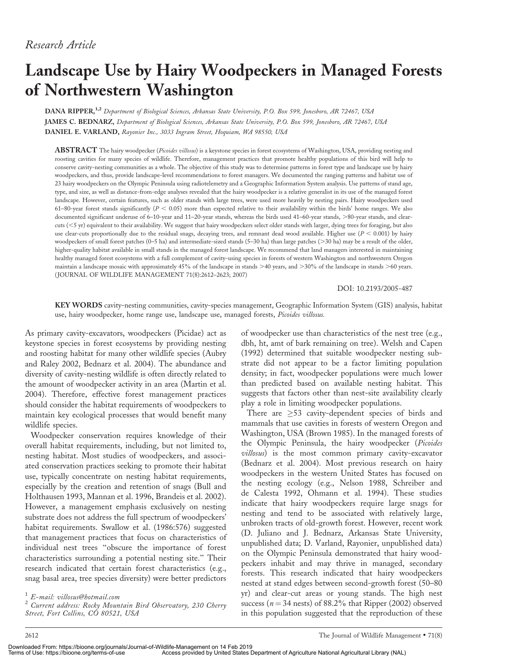# Landscape Use by Hairy Woodpeckers in Managed Forests of Northwestern Washington

DANA RIPPER,<sup>1,2</sup> Department of Biological Sciences, Arkansas State University, P.O. Box 599, Jonesboro, AR 72467, USA JAMES C. BEDNARZ, Department of Biological Sciences, Arkansas State University, P.O. Box 599, Jonesboro, AR 72467, USA DANIEL E. VARLAND, Rayonier Inc., 3033 Ingram Street, Hoquiam, WA 98550, USA

ABSTRACT The hairy woodpecker (Picoides villosus) is a keystone species in forest ecosystems of Washington, USA, providing nesting and roosting cavities for many species of wildlife. Therefore, management practices that promote healthy populations of this bird will help to conserve cavity-nesting communities as a whole. The objective of this study was to determine patterns in forest type and landscape use by hairy woodpeckers, and thus, provide landscape-level recommendations to forest managers. We documented the ranging patterns and habitat use of 23 hairy woodpeckers on the Olympic Peninsula using radiotelemetry and a Geographic Information System analysis. Use patterns of stand age, type, and size, as well as distance-from-edge analyses revealed that the hairy woodpecker is a relative generalist in its use of the managed forest landscape. However, certain features, such as older stands with large trees, were used more heavily by nesting pairs. Hairy woodpeckers used 61–80-year forest stands significantly ( $P < 0.05$ ) more than expected relative to their availability within the birds' home ranges. We also documented significant underuse of 6-10-year and 11-20-year stands, whereas the birds used 41-60-year stands, >80-year stands, and clearcuts (,5 yr) equivalent to their availability. We suggest that hairy woodpeckers select older stands with larger, dying trees for foraging, but also use clear-cuts proportionally due to the residual snags, decaying trees, and remnant dead wood available. Higher use  $(P < 0.001)$  by hairy woodpeckers of small forest patches (0-5 ha) and intermediate-sized stands (5-30 ha) than large patches (>30 ha) may be a result of the older, higher-quality habitat available in small stands in the managed forest landscape. We recommend that land managers interested in maintaining healthy managed forest ecosystems with a full complement of cavity-using species in forests of western Washington and northwestern Oregon maintain a landscape mosaic with approximately 45% of the landscape in stands >40 years, and >30% of the landscape in stands >60 years. (JOURNAL OF WILDLIFE MANAGEMENT 71(8):2612–2623; 2007)

DOI: 10.2193/2005-487

KEY WORDS cavity-nesting communities, cavity-species management, Geographic Information System (GIS) analysis, habitat use, hairy woodpecker, home range use, landscape use, managed forests, Picoides villosus.

As primary cavity-excavators, woodpeckers (Picidae) act as keystone species in forest ecosystems by providing nesting and roosting habitat for many other wildlife species (Aubry and Raley 2002, Bednarz et al. 2004). The abundance and diversity of cavity-nesting wildlife is often directly related to the amount of woodpecker activity in an area (Martin et al. 2004). Therefore, effective forest management practices should consider the habitat requirements of woodpeckers to maintain key ecological processes that would benefit many wildlife species.

Woodpecker conservation requires knowledge of their overall habitat requirements, including, but not limited to, nesting habitat. Most studies of woodpeckers, and associated conservation practices seeking to promote their habitat use, typically concentrate on nesting habitat requirements, especially by the creation and retention of snags (Bull and Holthausen 1993, Mannan et al. 1996, Brandeis et al. 2002). However, a management emphasis exclusively on nesting substrate does not address the full spectrum of woodpeckers' habitat requirements. Swallow et al. (1986:576) suggested that management practices that focus on characteristics of individual nest trees ''obscure the importance of forest characteristics surrounding a potential nesting site.'' Their research indicated that certain forest characteristics (e.g., snag basal area, tree species diversity) were better predictors of woodpecker use than characteristics of the nest tree (e.g., dbh, ht, amt of bark remaining on tree). Welsh and Capen (1992) determined that suitable woodpecker nesting substrate did not appear to be a factor limiting population density; in fact, woodpecker populations were much lower than predicted based on available nesting habitat. This suggests that factors other than nest-site availability clearly play a role in limiting woodpecker populations.

There are  $\geq$ 53 cavity-dependent species of birds and mammals that use cavities in forests of western Oregon and Washington, USA (Brown 1985). In the managed forests of the Olympic Peninsula, the hairy woodpecker (Picoides villosus) is the most common primary cavity-excavator (Bednarz et al. 2004). Most previous research on hairy woodpeckers in the western United States has focused on the nesting ecology (e.g., Nelson 1988, Schreiber and de Calesta 1992, Ohmann et al. 1994). These studies indicate that hairy woodpeckers require large snags for nesting and tend to be associated with relatively large, unbroken tracts of old-growth forest. However, recent work (D. Juliano and J. Bednarz, Arkansas State University, unpublished data; D. Varland, Rayonier, unpublished data) on the Olympic Peninsula demonstrated that hairy woodpeckers inhabit and may thrive in managed, secondary forests. This research indicated that hairy woodpeckers nested at stand edges between second-growth forest (50–80 yr) and clear-cut areas or young stands. The high nest success ( $n = 34$  nests) of 88.2% that Ripper (2002) observed in this population suggested that the reproduction of these

<sup>&</sup>lt;sup>1</sup> E-mail: villosus@hotmail.com<br><sup>2</sup> Current address: Rocky Mountain Bird Observatory, 230 Cherry Street, Fort Collins, CO 80521, USA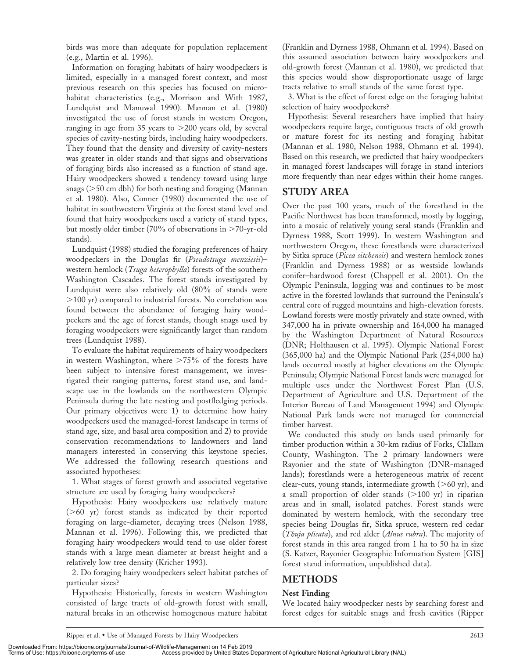birds was more than adequate for population replacement (e.g., Martin et al. 1996).

Information on foraging habitats of hairy woodpeckers is limited, especially in a managed forest context, and most previous research on this species has focused on microhabitat characteristics (e.g., Morrison and With 1987, Lundquist and Manuwal 1990). Mannan et al. (1980) investigated the use of forest stands in western Oregon, ranging in age from 35 years to  $>$  200 years old, by several species of cavity-nesting birds, including hairy woodpeckers. They found that the density and diversity of cavity-nesters was greater in older stands and that signs and observations of foraging birds also increased as a function of stand age. Hairy woodpeckers showed a tendency toward using large snags ( $>50$  cm dbh) for both nesting and foraging (Mannan et al. 1980). Also, Conner (1980) documented the use of habitat in southwestern Virginia at the forest stand level and found that hairy woodpeckers used a variety of stand types, but mostly older timber (70% of observations in  $>70$ -yr-old stands).

Lundquist (1988) studied the foraging preferences of hairy woodpeckers in the Douglas fir (Pseudotsuga menziesii)western hemlock (*Tsuga heterophylla*) forests of the southern Washington Cascades. The forest stands investigated by Lundquist were also relatively old (80% of stands were  $>$ 100 yr) compared to industrial forests. No correlation was found between the abundance of foraging hairy woodpeckers and the age of forest stands, though snags used by foraging woodpeckers were significantly larger than random trees (Lundquist 1988).

To evaluate the habitat requirements of hairy woodpeckers in western Washington, where  $>75\%$  of the forests have been subject to intensive forest management, we investigated their ranging patterns, forest stand use, and landscape use in the lowlands on the northwestern Olympic Peninsula during the late nesting and postfledging periods. Our primary objectives were 1) to determine how hairy woodpeckers used the managed-forest landscape in terms of stand age, size, and basal area composition and 2) to provide conservation recommendations to landowners and land managers interested in conserving this keystone species. We addressed the following research questions and associated hypotheses:

1. What stages of forest growth and associated vegetative structure are used by foraging hairy woodpeckers?

Hypothesis: Hairy woodpeckers use relatively mature  $(>60 \text{ yr})$  forest stands as indicated by their reported foraging on large-diameter, decaying trees (Nelson 1988, Mannan et al. 1996). Following this, we predicted that foraging hairy woodpeckers would tend to use older forest stands with a large mean diameter at breast height and a relatively low tree density (Kricher 1993).

2. Do foraging hairy woodpeckers select habitat patches of particular sizes?

Hypothesis: Historically, forests in western Washington consisted of large tracts of old-growth forest with small, natural breaks in an otherwise homogenous mature habitat (Franklin and Dyrness 1988, Ohmann et al. 1994). Based on this assumed association between hairy woodpeckers and old-growth forest (Mannan et al. 1980), we predicted that this species would show disproportionate usage of large tracts relative to small stands of the same forest type.

3. What is the effect of forest edge on the foraging habitat selection of hairy woodpeckers?

Hypothesis: Several researchers have implied that hairy woodpeckers require large, contiguous tracts of old growth or mature forest for its nesting and foraging habitat (Mannan et al. 1980, Nelson 1988, Ohmann et al. 1994). Based on this research, we predicted that hairy woodpeckers in managed forest landscapes will forage in stand interiors more frequently than near edges within their home ranges.

# STUDY AREA

Over the past 100 years, much of the forestland in the Pacific Northwest has been transformed, mostly by logging, into a mosaic of relatively young seral stands (Franklin and Dyrness 1988, Scott 1999). In western Washington and northwestern Oregon, these forestlands were characterized by Sitka spruce (Picea sitchensis) and western hemlock zones (Franklin and Dyrness 1988) or as westside lowlands conifer–hardwood forest (Chappell et al. 2001). On the Olympic Peninsula, logging was and continues to be most active in the forested lowlands that surround the Peninsula's central core of rugged mountains and high-elevation forests. Lowland forests were mostly privately and state owned, with 347,000 ha in private ownership and 164,000 ha managed by the Washington Department of Natural Resources (DNR; Holthausen et al. 1995). Olympic National Forest (365,000 ha) and the Olympic National Park (254,000 ha) lands occurred mostly at higher elevations on the Olympic Peninsula; Olympic National Forest lands were managed for multiple uses under the Northwest Forest Plan (U.S. Department of Agriculture and U.S. Department of the Interior Bureau of Land Management 1994) and Olympic National Park lands were not managed for commercial timber harvest.

We conducted this study on lands used primarily for timber production within a 30-km radius of Forks, Clallam County, Washington. The 2 primary landowners were Rayonier and the state of Washington (DNR-managed lands); forestlands were a heterogeneous matrix of recent clear-cuts, young stands, intermediate growth  $(>60 \text{ yr})$ , and a small proportion of older stands  $(>100 \text{ yr})$  in riparian areas and in small, isolated patches. Forest stands were dominated by western hemlock, with the secondary tree species being Douglas fir, Sitka spruce, western red cedar (Thuja plicata), and red alder (Alnus rubra). The majority of forest stands in this area ranged from 1 ha to 50 ha in size (S. Katzer, Rayonier Geographic Information System [GIS] forest stand information, unpublished data).

# METHODS

## Nest Finding

We located hairy woodpecker nests by searching forest and forest edges for suitable snags and fresh cavities (Ripper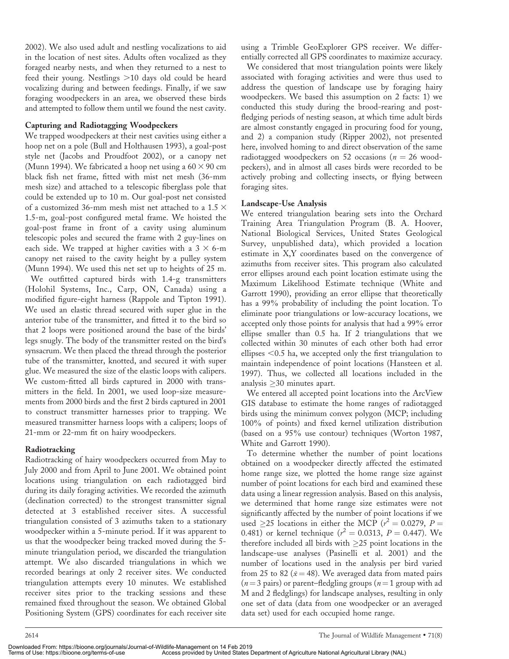2002). We also used adult and nestling vocalizations to aid in the location of nest sites. Adults often vocalized as they foraged nearby nests, and when they returned to a nest to feed their young. Nestlings >10 days old could be heard vocalizing during and between feedings. Finally, if we saw foraging woodpeckers in an area, we observed these birds and attempted to follow them until we found the nest cavity.

#### Capturing and Radiotagging Woodpeckers

We trapped woodpeckers at their nest cavities using either a hoop net on a pole (Bull and Holthausen 1993), a goal-post style net (Jacobs and Proudfoot 2002), or a canopy net (Munn 1994). We fabricated a hoop net using a  $60 \times 90$  cm black fish net frame, fitted with mist net mesh (36-mm mesh size) and attached to a telescopic fiberglass pole that could be extended up to 10 m. Our goal-post net consisted of a customized 36-mm mesh mist net attached to a 1.5  $\times$ 1.5-m, goal-post configured metal frame. We hoisted the goal-post frame in front of a cavity using aluminum telescopic poles and secured the frame with 2 guy-lines on each side. We trapped at higher cavities with a  $3 \times 6$ -m canopy net raised to the cavity height by a pulley system (Munn 1994). We used this net set up to heights of 25 m. We outfitted captured birds with 1.4-g transmitters (Holohil Systems, Inc., Carp, ON, Canada) using a modified figure-eight harness (Rappole and Tipton 1991). We used an elastic thread secured with super glue in the anterior tube of the transmitter, and fitted it to the bird so that 2 loops were positioned around the base of the birds' legs snugly. The body of the transmitter rested on the bird's synsacrum. We then placed the thread through the posterior tube of the transmitter, knotted, and secured it with super glue. We measured the size of the elastic loops with calipers. We custom-fitted all birds captured in 2000 with transmitters in the field. In 2001, we used loop-size measurements from 2000 birds and the first 2 birds captured in 2001 to construct transmitter harnesses prior to trapping. We measured transmitter harness loops with a calipers; loops of 21-mm or 22-mm fit on hairy woodpeckers.

#### Radiotracking

Radiotracking of hairy woodpeckers occurred from May to July 2000 and from April to June 2001. We obtained point locations using triangulation on each radiotagged bird during its daily foraging activities. We recorded the azimuth (declination corrected) to the strongest transmitter signal detected at 3 established receiver sites. A successful triangulation consisted of 3 azimuths taken to a stationary woodpecker within a 5-minute period. If it was apparent to us that the woodpecker being tracked moved during the 5 minute triangulation period, we discarded the triangulation attempt. We also discarded triangulations in which we recorded bearings at only 2 receiver sites. We conducted triangulation attempts every 10 minutes. We established receiver sites prior to the tracking sessions and these remained fixed throughout the season. We obtained Global Positioning System (GPS) coordinates for each receiver site using a Trimble GeoExplorer GPS receiver. We differentially corrected all GPS coordinates to maximize accuracy.

We considered that most triangulation points were likely associated with foraging activities and were thus used to address the question of landscape use by foraging hairy woodpeckers. We based this assumption on 2 facts: 1) we conducted this study during the brood-rearing and postfledging periods of nesting season, at which time adult birds are almost constantly engaged in procuring food for young, and 2) a companion study (Ripper 2002), not presented here, involved homing to and direct observation of the same radiotagged woodpeckers on 52 occasions ( $n = 26$  woodpeckers), and in almost all cases birds were recorded to be actively probing and collecting insects, or flying between foraging sites.

#### Landscape-Use Analysis

We entered triangulation bearing sets into the Orchard Training Area Triangulation Program (B. A. Hoover, National Biological Services, United States Geological Survey, unpublished data), which provided a location estimate in X,Y coordinates based on the convergence of azimuths from receiver sites. This program also calculated error ellipses around each point location estimate using the Maximum Likelihood Estimate technique (White and Garrott 1990), providing an error ellipse that theoretically has a 99% probability of including the point location. To eliminate poor triangulations or low-accuracy locations, we accepted only those points for analysis that had a 99% error ellipse smaller than 0.5 ha. If 2 triangulations that we collected within 30 minutes of each other both had error ellipses  $< 0.5$  ha, we accepted only the first triangulation to maintain independence of point locations (Hansteen et al. 1997). Thus, we collected all locations included in the analysis  $\geq$  30 minutes apart.

We entered all accepted point locations into the ArcView GIS database to estimate the home ranges of radiotagged birds using the minimum convex polygon (MCP; including 100% of points) and fixed kernel utilization distribution (based on a 95% use contour) techniques (Worton 1987, White and Garrott 1990).

To determine whether the number of point locations obtained on a woodpecker directly affected the estimated home range size, we plotted the home range size against number of point locations for each bird and examined these data using a linear regression analysis. Based on this analysis, we determined that home range size estimates were not significantly affected by the number of point locations if we used  $\geq$ 25 locations in either the MCP ( $r^2 = 0.0279$ , P = 0.481) or kernel technique ( $r^2 = 0.0313$ ,  $P = 0.447$ ). We therefore included all birds with  $\geq$ 25 point locations in the landscape-use analyses (Pasinelli et al. 2001) and the number of locations used in the analysis per bird varied from 25 to 82 ( $\bar{x}$  = 48). We averaged data from mated pairs  $(n=3 \text{ pairs})$  or parent–fledgling groups  $(n=1 \text{ group with ad}$ M and 2 fledglings) for landscape analyses, resulting in only one set of data (data from one woodpecker or an averaged data set) used for each occupied home range.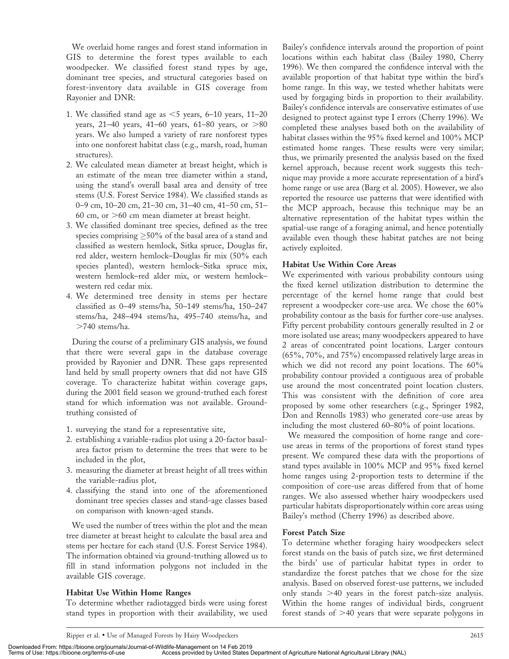We overlaid home ranges and forest stand information in GIS to determine the forest types available to each woodpecker. We classified forest stand types by age, dominant tree species, and structural categories based on forest-inventory data available in GIS coverage from Rayonier and DNR:

- 1. We classified stand age as  $<5$  years, 6–10 years, 11–20 years, 21–40 years, 41–60 years, 61–80 years, or  $>80$ years. We also lumped a variety of rare nonforest types into one nonforest habitat class (e.g., marsh, road, human structures).
- 2. We calculated mean diameter at breast height, which is an estimate of the mean tree diameter within a stand, using the stand's overall basal area and density of tree stems (U.S. Forest Service 1984). We classified stands as 0–9 cm, 10–20 cm, 21–30 cm, 31–40 cm, 41–50 cm, 51– 60 cm, or  $>$  60 cm mean diameter at breast height.
- 3. We classified dominant tree species, defined as the tree species comprising  ${\geq}50\%$  of the basal area of a stand and classified as western hemlock, Sitka spruce, Douglas fir, red alder, western hemlock–Douglas fir mix (50% each species planted), western hemlock–Sitka spruce mix, western hemlock–red alder mix, or western hemlock– western red cedar mix.
- 4. We determined tree density in stems per hectare classified as 0–49 stems/ha, 50–149 stems/ha, 150–247 stems/ha, 248–494 stems/ha, 495–740 stems/ha, and  $>740$  stems/ha.

During the course of a preliminary GIS analysis, we found that there were several gaps in the database coverage provided by Rayonier and DNR. These gaps represented land held by small property owners that did not have GIS coverage. To characterize habitat within coverage gaps, during the 2001 field season we ground-truthed each forest stand for which information was not available. Groundtruthing consisted of

- 1. surveying the stand for a representative site,
- 2. establishing a variable-radius plot using a 20-factor basalarea factor prism to determine the trees that were to be included in the plot,
- 3. measuring the diameter at breast height of all trees within the variable-radius plot,
- 4. classifying the stand into one of the aforementioned dominant tree species classes and stand-age classes based on comparison with known-aged stands.

We used the number of trees within the plot and the mean tree diameter at breast height to calculate the basal area and stems per hectare for each stand (U.S. Forest Service 1984). The information obtained via ground-truthing allowed us to fill in stand information polygons not included in the available GIS coverage.

## Habitat Use Within Home Ranges

To determine whether radiotagged birds were using forest stand types in proportion with their availability, we used

Bailey's confidence intervals around the proportion of point locations within each habitat class (Bailey 1980, Cherry 1996). We then compared the confidence interval with the available proportion of that habitat type within the bird's home range. In this way, we tested whether habitats were used by forgaging birds in proportion to their availability. Bailey's confidence intervals are conservative estimates of use designed to protect against type I errors (Cherry 1996). We completed these analyses based both on the availability of habitat classes within the 95% fixed kernel and 100% MCP estimated home ranges. These results were very similar; thus, we primarily presented the analysis based on the fixed kernel approach, because recent work suggests this technique may provide a more accurate representation of a bird's home range or use area (Barg et al. 2005). However, we also reported the resource use patterns that were identified with the MCP approach, because this technique may be an alternative representation of the habitat types within the spatial-use range of a foraging animal, and hence potentially available even though these habitat patches are not being actively exploited.

## Habitat Use Within Core Areas

We experimented with various probability contours using the fixed kernel utilization distribution to determine the percentage of the kernel home range that could best represent a woodpecker core-use area. We chose the 60% probability contour as the basis for further core-use analyses. Fifty percent probability contours generally resulted in 2 or more isolated use areas; many woodpeckers appeared to have 2 areas of concentrated point locations. Larger contours (65%, 70%, and 75%) encompassed relatively large areas in which we did not record any point locations. The 60% probability contour provided a contiguous area of probable use around the most concentrated point location clusters. This was consistent with the definition of core area proposed by some other researchers (e.g., Springer 1982, Don and Rennolls 1983) who generated core-use areas by including the most clustered 60–80% of point locations.

We measured the composition of home range and coreuse areas in terms of the proportions of forest stand types present. We compared these data with the proportions of stand types available in 100% MCP and 95% fixed kernel home ranges using 2-proportion tests to determine if the composition of core-use areas differed from that of home ranges. We also assessed whether hairy woodpeckers used particular habitats disproportionately within core areas using Bailey's method (Cherry 1996) as described above.

### Forest Patch Size

To determine whether foraging hairy woodpeckers select forest stands on the basis of patch size, we first determined the birds' use of particular habitat types in order to standardize the forest patches that we chose for the size analysis. Based on observed forest-use patterns, we included only stands  $>40$  years in the forest patch-size analysis. Within the home ranges of individual birds, congruent forest stands of  $>40$  years that were separate polygons in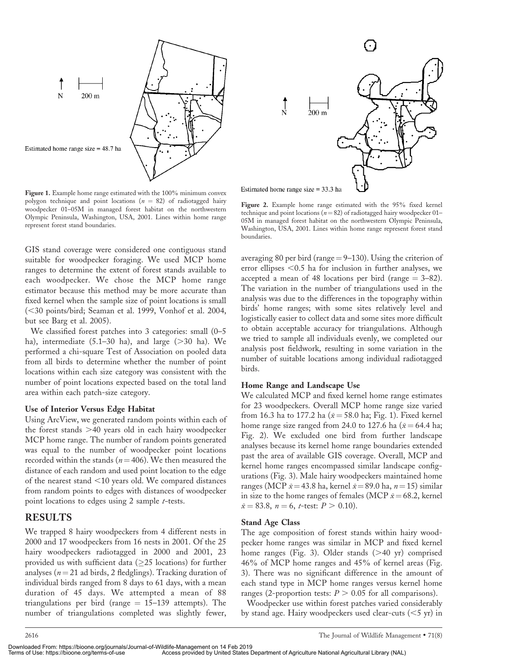

Figure 1. Example home range estimated with the 100% minimum convex polygon technique and point locations ( $n = 82$ ) of radiotagged hairy woodpecker 01–05M in managed forest habitat on the northwestern Olympic Peninsula, Washington, USA, 2001. Lines within home range represent forest stand boundaries.

GIS stand coverage were considered one contiguous stand suitable for woodpecker foraging. We used MCP home ranges to determine the extent of forest stands available to each woodpecker. We chose the MCP home range estimator because this method may be more accurate than fixed kernel when the sample size of point locations is small (<30 points/bird; Seaman et al. 1999, Vonhof et al. 2004, but see Barg et al. 2005).

We classified forest patches into 3 categories: small (0–5 ha), intermediate  $(5.1-30$  ha), and large  $(>30$  ha). We performed a chi-square Test of Association on pooled data from all birds to determine whether the number of point locations within each size category was consistent with the number of point locations expected based on the total land area within each patch-size category.

#### Use of Interior Versus Edge Habitat

Using ArcView, we generated random points within each of the forest stands  $>40$  years old in each hairy woodpecker MCP home range. The number of random points generated was equal to the number of woodpecker point locations recorded within the stands ( $n=406$ ). We then measured the distance of each random and used point location to the edge of the nearest stand  $<$ 10 years old. We compared distances from random points to edges with distances of woodpecker point locations to edges using 2 sample *t*-tests.

### RESULTS

We trapped 8 hairy woodpeckers from 4 different nests in 2000 and 17 woodpeckers from 16 nests in 2001. Of the 25 hairy woodpeckers radiotagged in 2000 and 2001, 23 provided us with sufficient data ( $\geq$ 25 locations) for further analyses ( $n = 21$  ad birds, 2 fledglings). Tracking duration of individual birds ranged from 8 days to 61 days, with a mean duration of 45 days. We attempted a mean of 88 triangulations per bird (range  $= 15-139$  attempts). The number of triangulations completed was slightly fewer,



Figure 2. Example home range estimated with the 95% fixed kernel technique and point locations ( $n=82$ ) of radiotagged hairy woodpecker 01– 05M in managed forest habitat on the northwestern Olympic Peninsula, Washington, USA, 2001. Lines within home range represent forest stand boundaries.

averaging 80 per bird (range  $=9-130$ ). Using the criterion of error ellipses  $< 0.5$  ha for inclusion in further analyses, we accepted a mean of 48 locations per bird (range  $= 3-82$ ). The variation in the number of triangulations used in the analysis was due to the differences in the topography within birds' home ranges; with some sites relatively level and logistically easier to collect data and some sites more difficult to obtain acceptable accuracy for triangulations. Although we tried to sample all individuals evenly, we completed our analysis post fieldwork, resulting in some variation in the number of suitable locations among individual radiotagged birds.

#### Home Range and Landscape Use

We calculated MCP and fixed kernel home range estimates for 23 woodpeckers. Overall MCP home range size varied from 16.3 ha to 177.2 ha ( $\bar{x}$  = 58.0 ha; Fig. 1). Fixed kernel home range size ranged from 24.0 to 127.6 ha ( $\bar{x}$  = 64.4 ha; Fig. 2). We excluded one bird from further landscape analyses because its kernel home range boundaries extended past the area of available GIS coverage. Overall, MCP and kernel home ranges encompassed similar landscape configurations (Fig. 3). Male hairy woodpeckers maintained home ranges (MCP  $\bar{x}$  = 43.8 ha, kernel  $\bar{x}$  = 89.0 ha, n = 15) similar in size to the home ranges of females (MCP  $\bar{x}$  = 68.2, kernel  $\bar{x}$  = 83.8, n = 6, t-test:  $P > 0.10$ ).

#### Stand Age Class

The age composition of forest stands within hairy woodpecker home ranges was similar in MCP and fixed kernel home ranges (Fig. 3). Older stands  $(>40 \text{ yr})$  comprised 46% of MCP home ranges and 45% of kernel areas (Fig. 3). There was no significant difference in the amount of each stand type in MCP home ranges versus kernel home ranges (2-proportion tests:  $P > 0.05$  for all comparisons).

Woodpecker use within forest patches varied considerably by stand age. Hairy woodpeckers used clear-cuts  $(<5 yr)$  in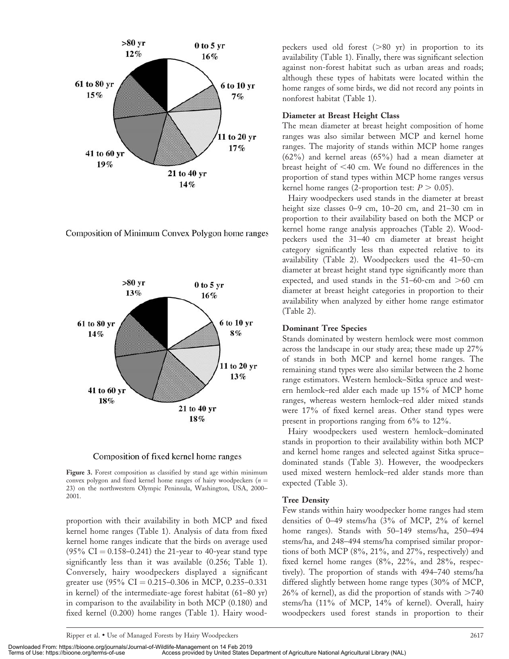

Composition of Minimum Convex Polygon home ranges





Figure 3. Forest composition as classified by stand age within minimum convex polygon and fixed kernel home ranges of hairy woodpeckers ( $n =$ 23) on the northwestern Olympic Peninsula, Washington, USA, 2000– 2001.

proportion with their availability in both MCP and fixed kernel home ranges (Table 1). Analysis of data from fixed kernel home ranges indicate that the birds on average used  $(95\% \text{ CI} = 0.158 - 0.241)$  the 21-year to 40-year stand type significantly less than it was available (0.256; Table 1). Conversely, hairy woodpeckers displayed a significant greater use  $(95\% \text{ CI} = 0.215 - 0.306 \text{ in MCP}, 0.235 - 0.331)$ in kernel) of the intermediate-age forest habitat (61–80 yr) in comparison to the availability in both MCP (0.180) and fixed kernel (0.200) home ranges (Table 1). Hairy woodpeckers used old forest  $(>80 \text{ yr})$  in proportion to its availability (Table 1). Finally, there was significant selection against non-forest habitat such as urban areas and roads; although these types of habitats were located within the home ranges of some birds, we did not record any points in nonforest habitat (Table 1).

#### Diameter at Breast Height Class

The mean diameter at breast height composition of home ranges was also similar between MCP and kernel home ranges. The majority of stands within MCP home ranges  $(62%)$  and kernel areas  $(65%)$  had a mean diameter at breast height of  $<$ 40 cm. We found no differences in the proportion of stand types within MCP home ranges versus kernel home ranges (2-proportion test:  $P > 0.05$ ).

Hairy woodpeckers used stands in the diameter at breast height size classes 0–9 cm, 10–20 cm, and 21–30 cm in proportion to their availability based on both the MCP or kernel home range analysis approaches (Table 2). Woodpeckers used the 31–40 cm diameter at breast height category significantly less than expected relative to its availability (Table 2). Woodpeckers used the 41–50-cm diameter at breast height stand type significantly more than expected, and used stands in the  $51-60$ -cm and  $>60$  cm diameter at breast height categories in proportion to their availability when analyzed by either home range estimator (Table 2).

#### Dominant Tree Species

Stands dominated by western hemlock were most common across the landscape in our study area; these made up 27% of stands in both MCP and kernel home ranges. The remaining stand types were also similar between the 2 home range estimators. Western hemlock–Sitka spruce and western hemlock–red alder each made up 15% of MCP home ranges, whereas western hemlock–red alder mixed stands were 17% of fixed kernel areas. Other stand types were present in proportions ranging from 6% to 12%.

Hairy woodpeckers used western hemlock–dominated stands in proportion to their availability within both MCP and kernel home ranges and selected against Sitka spruce– dominated stands (Table 3). However, the woodpeckers used mixed western hemlock–red alder stands more than expected (Table 3).

#### Tree Density

Few stands within hairy woodpecker home ranges had stem densities of 0–49 stems/ha (3% of MCP, 2% of kernel home ranges). Stands with 50–149 stems/ha, 250–494 stems/ha, and 248–494 stems/ha comprised similar proportions of both MCP (8%, 21%, and 27%, respectively) and fixed kernel home ranges (8%, 22%, and 28%, respectively). The proportion of stands with 494–740 stems/ha differed slightly between home range types (30% of MCP,  $26\%$  of kernel), as did the proportion of stands with  $>740$ stems/ha (11% of MCP, 14% of kernel). Overall, hairy woodpeckers used forest stands in proportion to their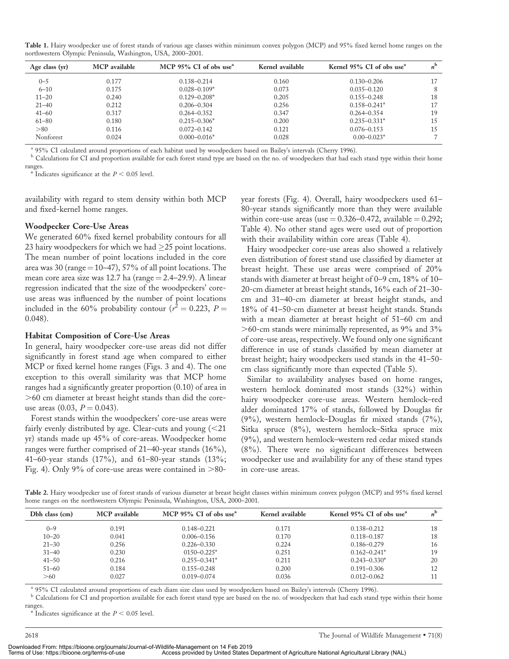Table 1. Hairy woodpecker use of forest stands of various age classes within minimum convex polygon (MCP) and 95% fixed kernel home ranges on the northwestern Olympic Peninsula, Washington, USA, 2000–2001.

| Age class $(yr)$ | MCP available | MCP 95% CI of obs use <sup>a</sup> | Kernel available | Kernel 95% CI of obs use <sup>a</sup> | $n^{\rm b}$ |
|------------------|---------------|------------------------------------|------------------|---------------------------------------|-------------|
| $0 - 5$          | 0.177         | $0.138 - 0.214$                    | 0.160            | $0.130 - 0.206$                       | 17          |
| $6 - 10$         | 0.175         | $0.028 - 0.109*$                   | 0.073            | $0.035 - 0.120$                       | 8           |
| $11 - 20$        | 0.240         | $0.129 - 0.208*$                   | 0.205            | $0.155 - 0.248$                       | 18          |
| $21 - 40$        | 0.212         | $0.206 - 0.304$                    | 0.256            | $0.158 - 0.241*$                      | 17          |
| $41 - 60$        | 0.317         | $0.264 - 0.352$                    | 0.347            | $0.264 - 0.354$                       | 19          |
| $61 - 80$        | 0.180         | $0.215 - 0.306*$                   | 0.200            | $0.235 - 0.331*$                      | 15          |
| > 80             | 0.116         | $0.072 - 0.142$                    | 0.121            | $0.076 - 0.153$                       | 15          |
| Nonforest        | 0.024         | $0.000 - 0.016*$                   | 0.028            | $0.00 - 0.023*$                       |             |

<sup>a</sup> 95% CI calculated around proportions of each habitat used by woodpeckers based on Bailey's intervals (Cherry 1996).<br><sup>b</sup> Calculations for CI and proportion available for each forest stand type are based on the no. of wo ranges.

 $*$  Indicates significance at the  $P < 0.05$  level.

availability with regard to stem density within both MCP and fixed-kernel home ranges.

#### Woodpecker Core-Use Areas

We generated 60% fixed kernel probability contours for all 23 hairy woodpeckers for which we had  $\geq$ 25 point locations. The mean number of point locations included in the core area was 30 (range  $=10-47$ ), 57% of all point locations. The mean core area size was 12.7 ha (range  $=$  2.4–29.9). A linear regression indicated that the size of the woodpeckers' coreuse areas was influenced by the number of point locations included in the 60% probability contour ( $r^2 = 0.223$ , P = 0.048).

#### Habitat Composition of Core-Use Areas

In general, hairy woodpecker core-use areas did not differ significantly in forest stand age when compared to either MCP or fixed kernel home ranges (Figs. 3 and 4). The one exception to this overall similarity was that MCP home ranges had a significantly greater proportion (0.10) of area in .60 cm diameter at breast height stands than did the coreuse areas  $(0.03, P = 0.043)$ .

Forest stands within the woodpeckers' core-use areas were fairly evenly distributed by age. Clear-cuts and young  $(<\!21$ yr) stands made up 45% of core-areas. Woodpecker home ranges were further comprised of 21–40-year stands (16%), 41–60-year stands (17%), and 61–80-year stands (13%; Fig. 4). Only 9% of core-use areas were contained in  $>80$ - year forests (Fig. 4). Overall, hairy woodpeckers used 61– 80-year stands significantly more than they were available within core-use areas (use  $= 0.326 - 0.472$ , available  $= 0.292$ ; Table 4). No other stand ages were used out of proportion with their availability within core areas (Table 4).

Hairy woodpecker core-use areas also showed a relatively even distribution of forest stand use classified by diameter at breast height. These use areas were comprised of 20% stands with diameter at breast height of 0–9 cm, 18% of 10– 20-cm diameter at breast height stands, 16% each of 21–30 cm and 31–40-cm diameter at breast height stands, and 18% of 41–50-cm diameter at breast height stands. Stands with a mean diameter at breast height of 51–60 cm and  $>$ 60-cm stands were minimally represented, as 9% and 3% of core-use areas, respectively. We found only one significant difference in use of stands classified by mean diameter at breast height; hairy woodpeckers used stands in the 41–50 cm class significantly more than expected (Table 5).

Similar to availability analyses based on home ranges, western hemlock dominated most stands (32%) within hairy woodpecker core-use areas. Western hemlock–red alder dominated 17% of stands, followed by Douglas fir (9%), western hemlock–Douglas fir mixed stands (7%), Sitka spruce (8%), western hemlock–Sitka spruce mix (9%), and western hemlock–western red cedar mixed stands (8%). There were no significant differences between woodpecker use and availability for any of these stand types in core-use areas.

Table 2. Hairy woodpecker use of forest stands of various diameter at breast height classes within minimum convex polygon (MCP) and 95% fixed kernel home ranges on the northwestern Olympic Peninsula, Washington, USA, 2000–2001.

| Dbh class (cm) | MCP available | MCP 95% CI of obs use <sup><math>a</math></sup> | Kernel available | Kernel 95% CI of obs use <sup>a</sup> | $n^{\rm b}$ |
|----------------|---------------|-------------------------------------------------|------------------|---------------------------------------|-------------|
| $0 - 9$        | 0.191         | $0.148 - 0.221$                                 | 0.171            | $0.138 - 0.212$                       | 18          |
| $10 - 20$      | 0.041         | $0.006 - 0.156$                                 | 0.170            | $0.118 - 0.187$                       | 18          |
| $21 - 30$      | 0.256         | $0.226 - 0.330$                                 | 0.224            | $0.186 - 0.279$                       | 16          |
| $31 - 40$      | 0.230         | $0150 - 0.225*$                                 | 0.251            | $0.162 - 0.241*$                      | 19          |
| $41 - 50$      | 0.216         | $0.255 - 0.341*$                                | 0.211            | $0.243 - 0.330*$                      | 20          |
| $51 - 60$      | 0.184         | $0.155 - 0.248$                                 | 0.200            | $0.191 - 0.306$                       | 12          |
| >60            | 0.027         | $0.019 - 0.074$                                 | 0.036            | $0.012 - 0.062$                       | 11          |

<sup>a</sup> 95% CI calculated around proportions of each diam size class used by woodpeckers based on Bailey's intervals (Cherry 1996).<br><sup>b</sup> Calculations for CI and proportion available for each forest stand type are based on the n ranges.

 $*$  Indicates significance at the  $P < 0.05$  level.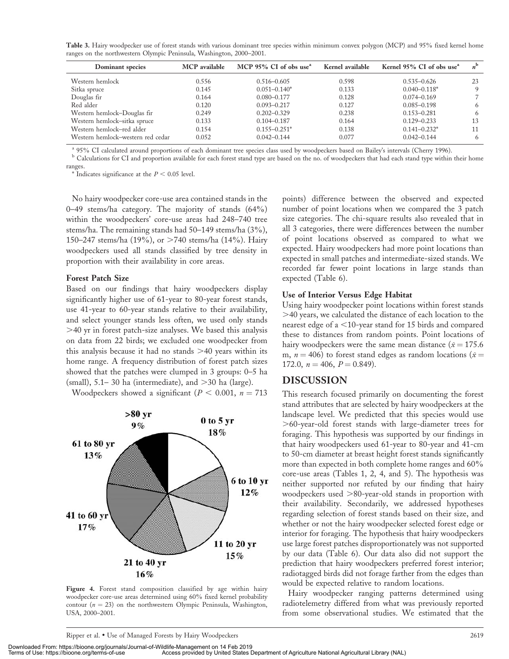Table 3. Hairy woodpecker use of forest stands with various dominant tree species within minimum convex polygon (MCP) and 95% fixed kernel home ranges on the northwestern Olympic Peninsula, Washington, 2000–2001.

| Dominant species                  | MCP available | MCP 95% CI of obs use <sup><math>a</math></sup> | Kernel available | Kernel 95% CI of obs use <sup>a</sup> | $n^{\rm b}$ |
|-----------------------------------|---------------|-------------------------------------------------|------------------|---------------------------------------|-------------|
| Western hemlock                   | 0.556         | $0.516 - 0.605$                                 | 0.598            | $0.535 - 0.626$                       | 23          |
| Sitka spruce                      | 0.145         | $0.051 - 0.140*$                                | 0.133            | $0.040 - 0.118*$                      | 9           |
| Douglas fir                       | 0.164         | $0.080 - 0.177$                                 | 0.128            | $0.074 - 0.169$                       |             |
| Red alder                         | 0.120         | $0.093 - 0.217$                                 | 0.127            | $0.085 - 0.198$                       | 6           |
| Western hemlock-Douglas fir       | 0.249         | $0.202 - 0.329$                                 | 0.238            | $0.153 - 0.281$                       | 6           |
| Western hemlock-sitka spruce      | 0.133         | $0.104 - 0.187$                                 | 0.164            | $0.129 - 0.233$                       | 13          |
| Western hemlock-red alder         | 0.154         | $0.155 - 0.251*$                                | 0.138            | $0.141 - 0.232*$                      | 11          |
| Western hemlock-western red cedar | 0.052         | $0.042 - 0.144$                                 | 0.077            | $0.042 - 0.144$                       | 6           |

<sup>a</sup> 95% CI calculated around proportions of each dominant tree species class used by woodpeckers based on Bailey's intervals (Cherry 1996).<br><sup>b</sup> Calculations for CI and proportion available for each forest stand type are ba

ranges.

 $*$  Indicates significance at the  $P < 0.05$  level.

No hairy woodpecker core-use area contained stands in the 0–49 stems/ha category. The majority of stands (64%) within the woodpeckers' core-use areas had 248–740 tree stems/ha. The remaining stands had 50–149 stems/ha (3%), 150–247 stems/ha (19%), or  $>740$  stems/ha (14%). Hairy woodpeckers used all stands classified by tree density in proportion with their availability in core areas.

#### Forest Patch Size

Based on our findings that hairy woodpeckers display significantly higher use of 61-year to 80-year forest stands, use 41-year to 60-year stands relative to their availability, and select younger stands less often, we used only stands  $>40$  yr in forest patch-size analyses. We based this analysis on data from 22 birds; we excluded one woodpecker from this analysis because it had no stands  $>40$  years within its home range. A frequency distribution of forest patch sizes showed that the patches were clumped in 3 groups: 0–5 ha (small),  $5.1-30$  ha (intermediate), and  $>30$  ha (large).

Woodpeckers showed a significant ( $P < 0.001$ ,  $n = 713$ )



Figure 4. Forest stand composition classified by age within hairy woodpecker core-use areas determined using 60% fixed kernel probability contour ( $n = 23$ ) on the northwestern Olympic Peninsula, Washington, USA, 2000–2001.

points) difference between the observed and expected number of point locations when we compared the 3 patch size categories. The chi-square results also revealed that in all 3 categories, there were differences between the number of point locations observed as compared to what we expected. Hairy woodpeckers had more point locations than expected in small patches and intermediate-sized stands. We recorded far fewer point locations in large stands than expected (Table 6).

#### Use of Interior Versus Edge Habitat

Using hairy woodpecker point locations within forest stands .40 years, we calculated the distance of each location to the nearest edge of a  $<$ 10-year stand for 15 birds and compared these to distances from random points. Point locations of hairy woodpeckers were the same mean distance ( $\bar{x}$  = 175.6 m,  $n = 406$ ) to forest stand edges as random locations ( $\bar{x} =$ 172.0,  $n = 406$ ,  $P = 0.849$ ).

## DISCUSSION

This research focused primarily on documenting the forest stand attributes that are selected by hairy woodpeckers at the landscape level. We predicted that this species would use .60-year-old forest stands with large-diameter trees for foraging. This hypothesis was supported by our findings in that hairy woodpeckers used 61-year to 80-year and 41-cm to 50-cm diameter at breast height forest stands significantly more than expected in both complete home ranges and 60% core-use areas (Tables 1, 2, 4, and 5). The hypothesis was neither supported nor refuted by our finding that hairy woodpeckers used  $>80$ -year-old stands in proportion with their availability. Secondarily, we addressed hypotheses regarding selection of forest stands based on their size, and whether or not the hairy woodpecker selected forest edge or interior for foraging. The hypothesis that hairy woodpeckers use large forest patches disproportionately was not supported by our data (Table 6). Our data also did not support the prediction that hairy woodpeckers preferred forest interior; radiotagged birds did not forage farther from the edges than would be expected relative to random locations.

Hairy woodpecker ranging patterns determined using radiotelemetry differed from what was previously reported from some observational studies. We estimated that the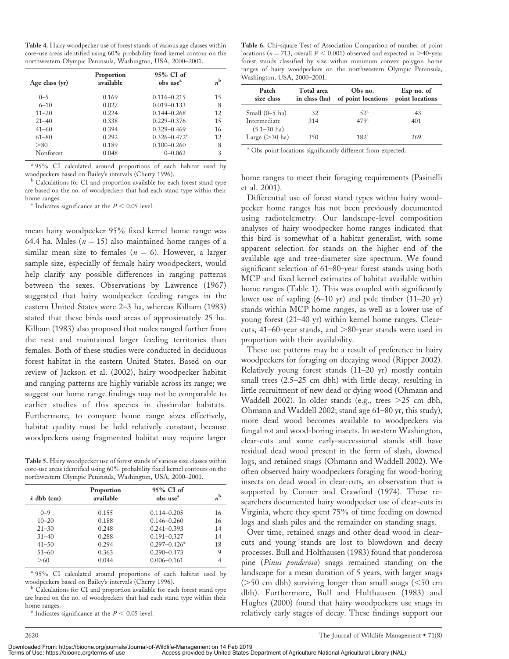Table 4. Hairy woodpecker use of forest stands of various age classes within core-use areas identified using 60% probability fixed kernel contour on the northwestern Olympic Peninsula, Washington, USA, 2000–2001.

| Age class $(yr)$ | Proportion<br>available | 95% CI of<br>obs use <sup>a</sup> | $n^{\rm b}$ |
|------------------|-------------------------|-----------------------------------|-------------|
| $0 - 5$          | 0.169                   | $0.116 - 0.215$                   | 15          |
| $6 - 10$         | 0.027                   | $0.019 - 0.133$                   | 8           |
| $11 - 20$        | 0.224                   | $0.144 - 0.268$                   | 12          |
| $21 - 40$        | 0.338                   | $0.229 - 0.376$                   | 15          |
| $41 - 60$        | 0.394                   | $0.329 - 0.469$                   | 16          |
| $61 - 80$        | 0.292                   | $0.326 - 0.472*$                  | 12          |
| > 80             | 0.189                   | $0.100 - 0.260$                   | 8           |
| Nonforest        | 0.048                   | $0 - 0.062$                       | 3           |

<sup>a</sup> 95% CI calculated around proportions of each habitat used by woodpeckers based on Bailey's intervals (Cherry 1996).

<sup>b</sup> Calculations for CI and proportion available for each forest stand type are based on the no. of woodpeckers that had each stand type within their home ranges.

\* Indicates significance at the  $P < 0.05$  level.

mean hairy woodpecker 95% fixed kernel home range was 64.4 ha. Males ( $n = 15$ ) also maintained home ranges of a similar mean size to females ( $n = 6$ ). However, a larger sample size, especially of female hairy woodpeckers, would help clarify any possible differences in ranging patterns between the sexes. Observations by Lawrence (1967) suggested that hairy woodpecker feeding ranges in the eastern United States were 2–3 ha, whereas Kilham (1983) stated that these birds used areas of approximately 25 ha. Kilham (1983) also proposed that males ranged further from the nest and maintained larger feeding territories than females. Both of these studies were conducted in deciduous forest habitat in the eastern United States. Based on our review of Jackson et al. (2002), hairy woodpecker habitat and ranging patterns are highly variable across its range; we suggest our home range findings may not be comparable to earlier studies of this species in dissimilar habitats. Furthermore, to compare home range sizes effectively, habitat quality must be held relatively constant, because woodpeckers using fragmented habitat may require larger

Table 5. Hairy woodpecker use of forest stands of various size classes within core-use areas identified using 60% probability fixed kernel contours on the northwestern Olympic Peninsula, Washington, USA, 2000–2001.

| $\bar{x}$ dbh (cm) | Proportion<br>available | 95% CI of<br>obs use <sup>a</sup> | $n^{\rm b}$ |
|--------------------|-------------------------|-----------------------------------|-------------|
| $() - 9$           | 0.155                   | $0.114 - 0.205$                   | 16          |
| $10 - 20$          | 0.188                   | $0.146 - 0.260$                   | 16          |
| $21 - 30$          | 0.248                   | $0.241 - 0.393$                   | 14          |
| $31 - 40$          | 0.288                   | $0.191 - 0.327$                   | 14          |
| $41 - 50$          | 0.294                   | $0.297 - 0.426*$                  | 18          |
| $51 - 60$          | 0.363                   | $0.290 - 0.473$                   | 9           |
| >60                | 0.044                   | $0.006 - 0.161$                   |             |

<sup>a</sup> 95% CI calculated around proportions of each habitat used by woodpeckers based on Bailey's intervals (Cherry 1996).

<sup>b</sup> Calculations for CI and proportion available for each forest stand type are based on the no. of woodpeckers that had each stand type within their home ranges.

\* Indicates significance at the  $P < 0.05$  level.

Table 6. Chi-square Test of Association Comparison of number of point locations ( $n = 713$ ; overall  $P < 0.001$ ) observed and expected in  $>40$ -year forest stands classified by size within minimum convex polygon home ranges of hairy woodpeckers on the northwestern Olympic Peninsula, Washington, USA, 2000–2001.

| Patch                                       | Total area    | Obs no.            | Exp no. of      |
|---------------------------------------------|---------------|--------------------|-----------------|
| size class                                  | in class (ha) | of point locations | point locations |
| Small $(0-5$ ha)                            | 32            | $52^{\circ}$       | 43              |
| Intermediate                                | 314           | 479 <sup>a</sup>   | 401             |
| $(5.1 - 30$ ha)<br>Large $(>30 \text{ ha})$ | 350           | $182^{\rm a}$      | 269             |

<sup>a</sup> Obs point locations significantly different from expected.

home ranges to meet their foraging requirements (Pasinelli et al. 2001).

Differential use of forest stand types within hairy woodpecker home ranges has not been previously documented using radiotelemetry. Our landscape-level composition analyses of hairy woodpecker home ranges indicated that this bird is somewhat of a habitat generalist, with some apparent selection for stands on the higher end of the available age and tree-diameter size spectrum. We found significant selection of 61–80-year forest stands using both MCP and fixed kernel estimates of habitat available within home ranges (Table 1). This was coupled with significantly lower use of sapling (6–10 yr) and pole timber (11–20 yr) stands within MCP home ranges, as well as a lower use of young forest (21–40 yr) within kernel home ranges. Clearcuts, 41–60-year stands, and  $>80$ -year stands were used in proportion with their availability.

These use patterns may be a result of preference in hairy woodpeckers for foraging on decaying wood (Ripper 2002). Relatively young forest stands (11–20 yr) mostly contain small trees (2.5–25 cm dbh) with little decay, resulting in little recruitment of new dead or dying wood (Ohmann and Waddell 2002). In older stands (e.g., trees  $>25$  cm dbh, Ohmann and Waddell 2002; stand age 61–80 yr, this study), more dead wood becomes available to woodpeckers via fungal rot and wood-boring insects. In western Washington, clear-cuts and some early-successional stands still have residual dead wood present in the form of slash, downed logs, and retained snags (Ohmann and Waddell 2002). We often observed hairy woodpeckers foraging for wood-boring insects on dead wood in clear-cuts, an observation that is supported by Conner and Crawford (1974). These researchers documented hairy woodpecker use of clear-cuts in Virginia, where they spent 75% of time feeding on downed logs and slash piles and the remainder on standing snags.

Over time, retained snags and other dead wood in clearcuts and young stands are lost to blowdown and decay processes. Bull and Holthausen (1983) found that ponderosa pine (Pinus ponderosa) snags remained standing on the landscape for a mean duration of 5 years, with larger snags ( $>50$  cm dbh) surviving longer than small snags ( $<50$  cm dbh). Furthermore, Bull and Holthausen (1983) and Hughes (2000) found that hairy woodpeckers use snags in relatively early stages of decay. These findings support our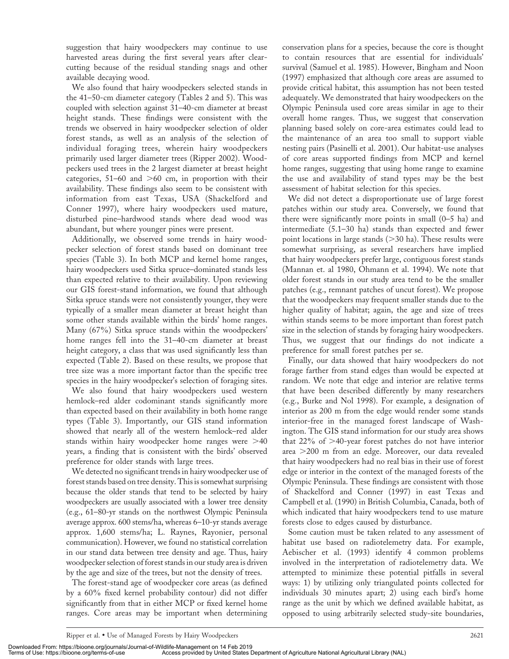suggestion that hairy woodpeckers may continue to use harvested areas during the first several years after clearcutting because of the residual standing snags and other available decaying wood.

We also found that hairy woodpeckers selected stands in the 41–50-cm diameter category (Tables 2 and 5). This was coupled with selection against 31–40-cm diameter at breast height stands. These findings were consistent with the trends we observed in hairy woodpecker selection of older forest stands, as well as an analysis of the selection of individual foraging trees, wherein hairy woodpeckers primarily used larger diameter trees (Ripper 2002). Woodpeckers used trees in the 2 largest diameter at breast height categories,  $51-60$  and  $>60$  cm, in proportion with their availability. These findings also seem to be consistent with information from east Texas, USA (Shackelford and Conner 1997), where hairy woodpeckers used mature, disturbed pine–hardwood stands where dead wood was abundant, but where younger pines were present.

Additionally, we observed some trends in hairy woodpecker selection of forest stands based on dominant tree species (Table 3). In both MCP and kernel home ranges, hairy woodpeckers used Sitka spruce–dominated stands less than expected relative to their availability. Upon reviewing our GIS forest-stand information, we found that although Sitka spruce stands were not consistently younger, they were typically of a smaller mean diameter at breast height than some other stands available within the birds' home ranges. Many (67%) Sitka spruce stands within the woodpeckers' home ranges fell into the 31–40-cm diameter at breast height category, a class that was used significantly less than expected (Table 2). Based on these results, we propose that tree size was a more important factor than the specific tree species in the hairy woodpecker's selection of foraging sites.

We also found that hairy woodpeckers used western hemlock–red alder codominant stands significantly more than expected based on their availability in both home range types (Table 3). Importantly, our GIS stand information showed that nearly all of the western hemlock–red alder stands within hairy woodpecker home ranges were  $>40$ years, a finding that is consistent with the birds' observed preference for older stands with large trees.

We detected no significant trends in hairy woodpecker use of forest stands based on tree density. This is somewhat surprising because the older stands that tend to be selected by hairy woodpeckers are usually associated with a lower tree density (e.g., 61–80-yr stands on the northwest Olympic Peninsula average approx. 600 stems/ha, whereas 6–10-yr stands average approx. 1,600 stems/ha; L. Raynes, Rayonier, personal communication). However, we found no statistical correlation in our stand data between tree density and age. Thus, hairy woodpecker selection of forest stands in our study area is driven by the age and size of the trees, but not the density of trees.

The forest-stand age of woodpecker core areas (as defined by a 60% fixed kernel probability contour) did not differ significantly from that in either MCP or fixed kernel home ranges. Core areas may be important when determining

conservation plans for a species, because the core is thought to contain resources that are essential for individuals' survival (Samuel et al. 1985). However, Bingham and Noon (1997) emphasized that although core areas are assumed to provide critical habitat, this assumption has not been tested adequately. We demonstrated that hairy woodpeckers on the Olympic Peninsula used core areas similar in age to their overall home ranges. Thus, we suggest that conservation planning based solely on core-area estimates could lead to the maintenance of an area too small to support viable nesting pairs (Pasinelli et al. 2001). Our habitat-use analyses of core areas supported findings from MCP and kernel home ranges, suggesting that using home range to examine the use and availability of stand types may be the best assessment of habitat selection for this species.

We did not detect a disproportionate use of large forest patches within our study area. Conversely, we found that there were significantly more points in small (0–5 ha) and intermediate (5.1–30 ha) stands than expected and fewer point locations in large stands  $(>= 30$  ha). These results were somewhat surprising, as several researchers have implied that hairy woodpeckers prefer large, contiguous forest stands (Mannan et. al 1980, Ohmann et al. 1994). We note that older forest stands in our study area tend to be the smaller patches (e.g., remnant patches of uncut forest). We propose that the woodpeckers may frequent smaller stands due to the higher quality of habitat; again, the age and size of trees within stands seems to be more important than forest patch size in the selection of stands by foraging hairy woodpeckers. Thus, we suggest that our findings do not indicate a preference for small forest patches per se.

Finally, our data showed that hairy woodpeckers do not forage farther from stand edges than would be expected at random. We note that edge and interior are relative terms that have been described differently by many researchers (e.g., Burke and Nol 1998). For example, a designation of interior as 200 m from the edge would render some stands interior-free in the managed forest landscape of Washington. The GIS stand information for our study area shows that  $22\%$  of  $>40$ -year forest patches do not have interior area  $>$ 200 m from an edge. Moreover, our data revealed that hairy woodpeckers had no real bias in their use of forest edge or interior in the context of the managed forests of the Olympic Peninsula. These findings are consistent with those of Shackelford and Conner (1997) in east Texas and Campbell et al. (1990) in British Columbia, Canada, both of which indicated that hairy woodpeckers tend to use mature forests close to edges caused by disturbance.

Some caution must be taken related to any assessment of habitat use based on radiotelemetry data. For example, Aebischer et al. (1993) identify 4 common problems involved in the interpretation of radiotelemetry data. We attempted to minimize these potential pitfalls in several ways: 1) by utilizing only triangulated points collected for individuals 30 minutes apart; 2) using each bird's home range as the unit by which we defined available habitat, as opposed to using arbitrarily selected study-site boundaries,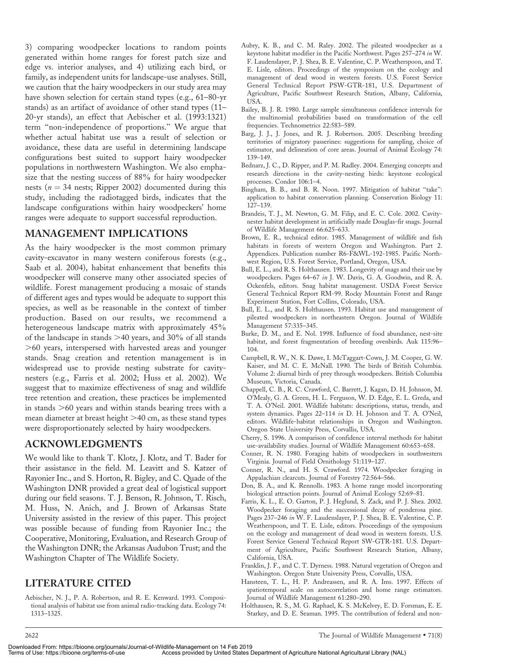3) comparing woodpecker locations to random points generated within home ranges for forest patch size and edge vs. interior analyses, and 4) utilizing each bird, or family, as independent units for landscape-use analyses. Still, we caution that the hairy woodpeckers in our study area may have shown selection for certain stand types (e.g., 61–80-yr stands) as an artifact of avoidance of other stand types (11– 20-yr stands), an effect that Aebischer et al. (1993:1321) term ''non-independence of proportions.'' We argue that whether actual habitat use was a result of selection or avoidance, these data are useful in determining landscape configurations best suited to support hairy woodpecker populations in northwestern Washington. We also emphasize that the nesting success of 88% for hairy woodpecker nests ( $n = 34$  nests; Ripper 2002) documented during this study, including the radiotagged birds, indicates that the landscape configurations within hairy woodpeckers' home ranges were adequate to support successful reproduction.

# MANAGEMENT IMPLICATIONS

As the hairy woodpecker is the most common primary cavity-excavator in many western coniferous forests (e.g., Saab et al. 2004), habitat enhancement that benefits this woodpecker will conserve many other associated species of wildlife. Forest management producing a mosaic of stands of different ages and types would be adequate to support this species, as well as be reasonable in the context of timber production. Based on our results, we recommend a heterogeneous landscape matrix with approximately 45% of the landscape in stands  $>40$  years, and 30% of all stands .60 years, interspersed with harvested areas and younger stands. Snag creation and retention management is in widespread use to provide nesting substrate for cavitynesters (e.g., Farris et al. 2002; Huss et al. 2002). We suggest that to maximize effectiveness of snag and wildlife tree retention and creation, these practices be implemented in stands  $>60$  years and within stands bearing trees with a mean diameter at breast height >40 cm, as these stand types were disproportionately selected by hairy woodpeckers.

# ACKNOWLEDGMENTS

We would like to thank T. Klotz, J. Klotz, and T. Bader for their assistance in the field. M. Leavitt and S. Katzer of Rayonier Inc., and S. Horton, R. Bigley, and C. Quade of the Washington DNR provided a great deal of logistical support during our field seasons. T. J. Benson, R. Johnson, T. Risch, M. Huss, N. Anich, and J. Brown of Arkansas State University assisted in the review of this paper. This project was possible because of funding from Rayonier Inc.; the Cooperative, Monitoring, Evaluation, and Research Group of the Washington DNR; the Arkansas Audubon Trust; and the Washington Chapter of The Wildlife Society.

# LITERATURE CITED

Aebischer, N. J., P. A. Robertson, and R. E. Kenward. 1993. Compositional analysis of habitat use from animal radio-tracking data. Ecology 74: 1313–1325.

- Aubry, K. B., and C. M. Raley. 2002. The pileated woodpecker as a keystone habitat modifier in the Pacific Northwest. Pages 257–274 in W. F. Laudenslayer, P. J. Shea, B. E. Valentine, C. P. Weatherspoon, and T. E. Lisle, editors. Proceedings of the symposium on the ecology and management of dead wood in western forests. U.S. Forest Service General Technical Report PSW-GTR-181, U.S. Department of Agriculture, Pacific Southwest Research Station, Albany, California, USA.
- Bailey, B. J. R. 1980. Large sample simultaneous confidence intervals for the multinomial probabilities based on transformation of the cell frequencies. Technometrics 22:583–589.
- Barg, J. J., J. Jones, and R. J. Robertson. 2005. Describing breeding territories of migratory passerines: suggestions for sampling, choice of estimator, and delineation of core areas. Journal of Animal Ecology 74: 139–149.
- Bednarz, J. C., D. Ripper, and P. M. Radley. 2004. Emerging concepts and research directions in the cavity-nesting birds: keystone ecological processes. Condor 106:1–4.
- Bingham, B. B., and B. R. Noon. 1997. Mitigation of habitat "take": application to habitat conservation planning. Conservation Biology 11: 127–139.
- Brandeis, T. J., M. Newton, G. M. Filip, and E. C. Cole. 2002. Cavitynester habitat development in artificially made Douglas-fir snags. Journal of Wildlife Management 66:625–633.
- Brown, E. R., technical editor. 1985. Management of wildlife and fish habitats in forests of western Oregon and Washington. Part 2. Appendices. Publication number R6-F&WL-192-1985. Pacific Northwest Region, U.S. Forest Service, Portland, Oregon, USA.
- Bull, E. L., and R. S. Holthausen. 1983. Longevity of snags and their use by woodpeckers. Pages 64–67 in J. W. Davis, G. A. Goodwin, and R. A. Ockenfels, editors. Snag habitat management. USDA Forest Service General Technical Report RM-99. Rocky Mountain Forest and Range Experiment Station, Fort Collins, Colorado, USA.
- Bull, E. L., and R. S. Holthausen. 1993. Habitat use and management of pileated woodpeckers in northeastern Oregon. Journal of Wildlife Management 57:335–345.
- Burke, D. M., and E. Nol. 1998. Influence of food abundance, nest-site habitat, and forest fragmentation of breeding ovenbirds. Auk 115:96– 104.
- Campbell, R. W., N. K. Dawe, I. McTaggart-Cown, J. M. Cooper, G. W. Kaiser, and M. C. E. McNall. 1990. The birds of British Columbia. Volume 2: diurnal birds of prey through woodpeckers. British Columbia Museum, Victoria, Canada.
- Chappell, C. B., R. C. Crawford, C. Barrett, J. Kagan, D. H. Johnson, M. O'Mealy, G. A. Green, H. L. Ferguson, W. D. Edge, E. L. Greda, and T. A. O'Neil. 2001. Wildlife habitats: descriptions, status, trends, and system dynamics. Pages 22–114 in D. H. Johnson and T. A. O'Neil, editors. Wildlife-habitat relationships in Oregon and Washington. Oregon State University Press, Corvallis, USA.
- Cherry, S. 1996. A comparison of confidence interval methods for habitat use-availability studies. Journal of Wildlife Management 60:653–658.
- Conner, R. N. 1980. Foraging habits of woodpeckers in southwestern Virginia. Journal of Field Ornithology 51:119–127.
- Conner, R. N., and H. S. Crawford. 1974. Woodpecker foraging in Appalachian clearcuts. Journal of Forestry 72:564–566.
- Don, B. A., and K. Rennolls. 1983. A home range model incorporating biological attraction points. Journal of Animal Ecology 52:69–81.
- Farris, K. L., E. O. Garton, P. J. Heglund, S. Zack, and P. J. Shea. 2002. Woodpecker foraging and the successional decay of ponderosa pine. Pages 237–246 in W. F. Laudenslayer, P. J. Shea, B. E. Valentine, C. P. Weatherspoon, and T. E. Lisle, editors. Proceedings of the symposium on the ecology and management of dead wood in western forests. U.S. Forest Service General Technical Report SW-GTR-181. U.S. Department of Agriculture, Pacific Southwest Research Station, Albany, California, USA.
- Franklin, J. F., and C. T. Dyrness. 1988. Natural vegetation of Oregon and Washington. Oregon State University Press, Corvallis, USA.
- Hansteen, T. L., H. P. Andreassen, and R. A. Ims. 1997. Effects of spatiotemporal scale on autocorrelation and home range estimators. Journal of Wildlife Management 61:280–290.
- Holthausen, R. S., M. G. Raphael, K. S. McKelvey, E. D. Forsman, E. E. Starkey, and D. E. Seaman. 1995. The contribution of federal and non-